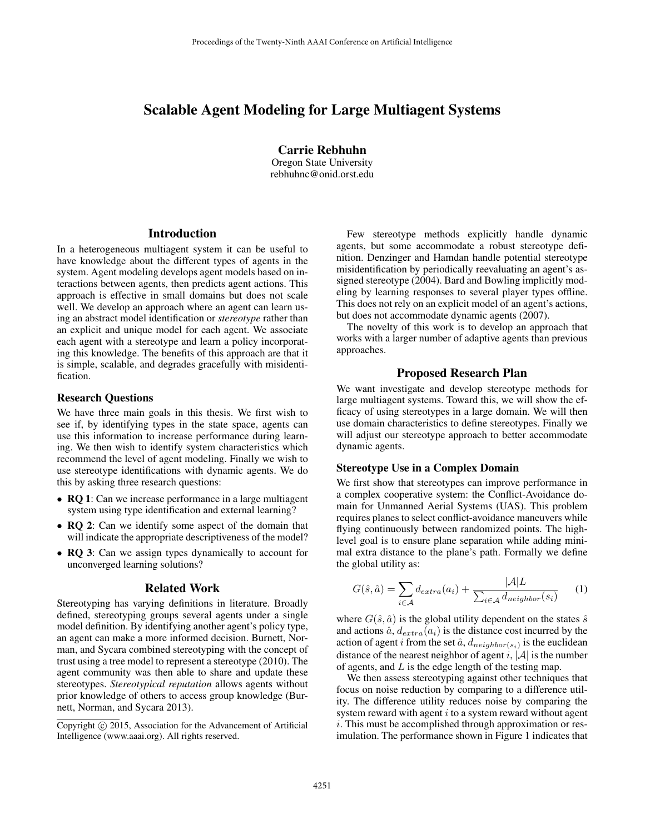# Scalable Agent Modeling for Large Multiagent Systems

Carrie Rebhuhn Oregon State University rebhuhnc@onid.orst.edu

# Introduction

In a heterogeneous multiagent system it can be useful to have knowledge about the different types of agents in the system. Agent modeling develops agent models based on interactions between agents, then predicts agent actions. This approach is effective in small domains but does not scale well. We develop an approach where an agent can learn using an abstract model identification or *stereotype* rather than an explicit and unique model for each agent. We associate each agent with a stereotype and learn a policy incorporating this knowledge. The benefits of this approach are that it is simple, scalable, and degrades gracefully with misidentification.

#### Research Questions

We have three main goals in this thesis. We first wish to see if, by identifying types in the state space, agents can use this information to increase performance during learning. We then wish to identify system characteristics which recommend the level of agent modeling. Finally we wish to use stereotype identifications with dynamic agents. We do this by asking three research questions:

- RQ 1: Can we increase performance in a large multiagent system using type identification and external learning?
- RQ 2: Can we identify some aspect of the domain that will indicate the appropriate descriptiveness of the model?
- **RQ 3**: Can we assign types dynamically to account for unconverged learning solutions?

#### Related Work

Stereotyping has varying definitions in literature. Broadly defined, stereotyping groups several agents under a single model definition. By identifying another agent's policy type, an agent can make a more informed decision. Burnett, Norman, and Sycara combined stereotyping with the concept of trust using a tree model to represent a stereotype (2010). The agent community was then able to share and update these stereotypes. *Stereotypical reputation* allows agents without prior knowledge of others to access group knowledge (Burnett, Norman, and Sycara 2013).

Few stereotype methods explicitly handle dynamic agents, but some accommodate a robust stereotype definition. Denzinger and Hamdan handle potential stereotype misidentification by periodically reevaluating an agent's assigned stereotype (2004). Bard and Bowling implicitly modeling by learning responses to several player types offline. This does not rely on an explicit model of an agent's actions, but does not accommodate dynamic agents (2007).

The novelty of this work is to develop an approach that works with a larger number of adaptive agents than previous approaches.

## Proposed Research Plan

We want investigate and develop stereotype methods for large multiagent systems. Toward this, we will show the efficacy of using stereotypes in a large domain. We will then use domain characteristics to define stereotypes. Finally we will adjust our stereotype approach to better accommodate dynamic agents.

### Stereotype Use in a Complex Domain

We first show that stereotypes can improve performance in a complex cooperative system: the Conflict-Avoidance domain for Unmanned Aerial Systems (UAS). This problem requires planes to select conflict-avoidance maneuvers while flying continuously between randomized points. The highlevel goal is to ensure plane separation while adding minimal extra distance to the plane's path. Formally we define the global utility as:

$$
G(\hat{s}, \hat{a}) = \sum_{i \in \mathcal{A}} d_{extra}(a_i) + \frac{|\mathcal{A}|L}{\sum_{i \in \mathcal{A}} d_{neighbor}(s_i)}
$$
(1)

where  $G(\hat{s}, \hat{a})$  is the global utility dependent on the states  $\hat{s}$ and actions  $\hat{a}$ ,  $d_{extra}(a_i)$  is the distance cost incurred by the action of agent *i* from the set  $\hat{a}$ ,  $d_{neighbor(s_i)}$  is the euclidean distance of the nearest neighbor of agent i,  $|A|$  is the number of agents, and  $L$  is the edge length of the testing map.

We then assess stereotyping against other techniques that focus on noise reduction by comparing to a difference utility. The difference utility reduces noise by comparing the system reward with agent  $i$  to a system reward without agent i. This must be accomplished through approximation or resimulation. The performance shown in Figure 1 indicates that

Copyright (c) 2015, Association for the Advancement of Artificial Intelligence (www.aaai.org). All rights reserved.